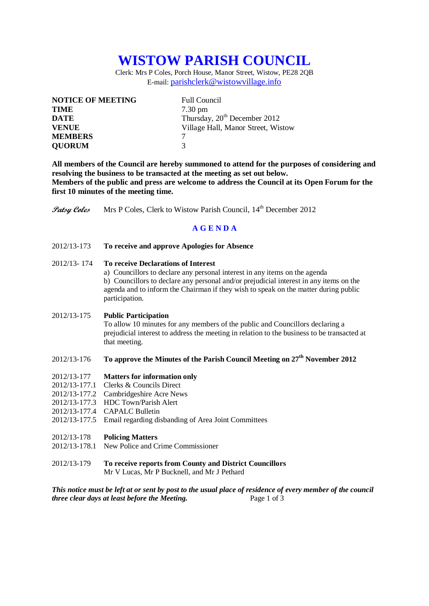# **WISTOW PARISH COUNCIL**

Clerk: Mrs P Coles, Porch House, Manor Street, Wistow, PE28 2QB E-mail: [parishclerk@wistowvillage.info](mailto:parishclerk@wistowvillage.info)

| <b>NOTICE OF MEETING</b> | <b>Full Council</b>                      |
|--------------------------|------------------------------------------|
| <b>TIME</b>              | $7.30 \text{ pm}$                        |
| <b>DATE</b>              | Thursday, 20 <sup>th</sup> December 2012 |
| <b>VENUE</b>             | Village Hall, Manor Street, Wistow       |
| <b>MEMBERS</b>           |                                          |
| <b>QUORUM</b>            | 3                                        |

**All members of the Council are hereby summoned to attend for the purposes of considering and resolving the business to be transacted at the meeting as set out below. Members of the public and press are welcome to address the Council at its Open Forum for the first 10 minutes of the meeting time.**

**Patsy Coles** Mrs P Coles, Clerk to Wistow Parish Council, 14<sup>th</sup> December 2012

# **A G E N D A**

2012/13-173 **To receive and approve Apologies for Absence**

## 2012/13- 174 **To receive Declarations of Interest**

a) Councillors to declare any personal interest in any items on the agenda b) Councillors to declare any personal and/or prejudicial interest in any items on the agenda and to inform the Chairman if they wish to speak on the matter during public participation.

## 2012/13-175 **Public Participation**

To allow 10 minutes for any members of the public and Councillors declaring a prejudicial interest to address the meeting in relation to the business to be transacted at that meeting.

# 2012/13-176 **To approve the Minutes of the Parish Council Meeting on 27th November 2012**

## 2012/13-177 **Matters for information only**

- 2012/13-177.1 Clerks & Councils Direct
- 2012/13-177.2 Cambridgeshire Acre News
- 2012/13-177.3 HDC Town/Parish Alert
- 2012/13-177.4 CAPALC Bulletin
- 2012/13-177.5 Email regarding disbanding of Area Joint Committees

#### 2012/13-178 **Policing Matters**

- 2012/13-178.1 New Police and Crime Commissioner
- 2012/13-179 **To receive reports from County and District Councillors** Mr V Lucas, Mr P Bucknell, and Mr J Pethard

*This notice must be left at or sent by post to the usual place of residence of every member of the council three clear days at least before the Meeting.* Page 1 of 3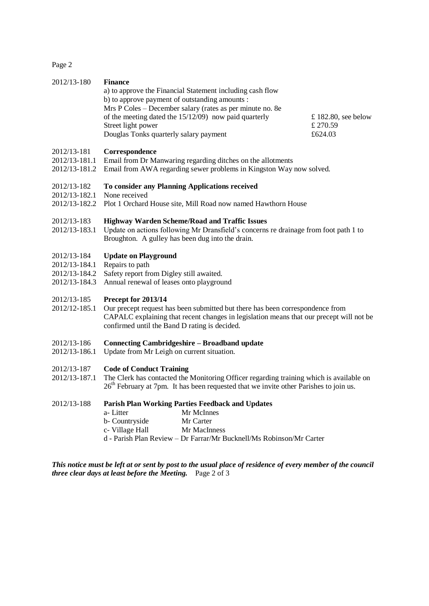Page 2

| 2012/13-180                                                                                                                                                                        | <b>Finance</b><br>a) to approve the Financial Statement including cash flow<br>b) to approve payment of outstanding amounts :<br>Mrs P Coles - December salary (rates as per minute no. 8e<br>of the meeting dated the 15/12/09) now paid quarterly<br>Street light power<br>Douglas Tonks quarterly salary payment | £ 182.80, see below<br>£ 270.59<br>£624.03 |  |
|------------------------------------------------------------------------------------------------------------------------------------------------------------------------------------|---------------------------------------------------------------------------------------------------------------------------------------------------------------------------------------------------------------------------------------------------------------------------------------------------------------------|--------------------------------------------|--|
| 2012/13-181<br>2012/13-181.1<br>2012/13-181.2                                                                                                                                      | Correspondence<br>Email from Dr Manwaring regarding ditches on the allotments<br>Email from AWA regarding sewer problems in Kingston Way now solved.                                                                                                                                                                |                                            |  |
| 2012/13-182<br>2012/13-182.1<br>2012/13-182.2                                                                                                                                      | To consider any Planning Applications received<br>None received<br>Plot 1 Orchard House site, Mill Road now named Hawthorn House                                                                                                                                                                                    |                                            |  |
| 2012/13-183<br>2012/13-183.1                                                                                                                                                       | <b>Highway Warden Scheme/Road and Traffic Issues</b><br>Update on actions following Mr Dransfield's concerns re drainage from foot path 1 to<br>Broughton. A gulley has been dug into the drain.                                                                                                                    |                                            |  |
| 2012/13-184<br>2012/13-184.1<br>2012/13-184.2<br>2012/13-184.3                                                                                                                     | <b>Update on Playground</b><br>Repairs to path<br>Safety report from Digley still awaited.<br>Annual renewal of leases onto playground                                                                                                                                                                              |                                            |  |
| 2012/13-185<br>2012/12-185.1                                                                                                                                                       | Precept for 2013/14<br>Our precept request has been submitted but there has been correspondence from<br>CAPALC explaining that recent changes in legislation means that our precept will not be<br>confirmed until the Band D rating is decided.                                                                    |                                            |  |
| 2012/13-186<br>2012/13-186.1                                                                                                                                                       | <b>Connecting Cambridgeshire - Broadband update</b><br>Update from Mr Leigh on current situation.                                                                                                                                                                                                                   |                                            |  |
| 2012/13-187<br>2012/13-187.1                                                                                                                                                       | <b>Code of Conduct Training</b><br>The Clerk has contacted the Monitoring Officer regarding training which is available on<br>26 <sup>th</sup> February at 7pm. It has been requested that we invite other Parishes to join us.                                                                                     |                                            |  |
| 2012/13-188                                                                                                                                                                        | <b>Parish Plan Working Parties Feedback and Updates</b><br>Mr McInnes<br>a-Litter<br>b- Countryside<br>Mr Carter<br>c- Village Hall<br>Mr MacInness<br>d - Parish Plan Review - Dr Farrar/Mr Bucknell/Ms Robinson/Mr Carter                                                                                         |                                            |  |
| This notice must be left at or sent by post to the usual place of residence of every member of the council<br><i>three clear days at least before the Meeting.</i> Page $2$ of $3$ |                                                                                                                                                                                                                                                                                                                     |                                            |  |